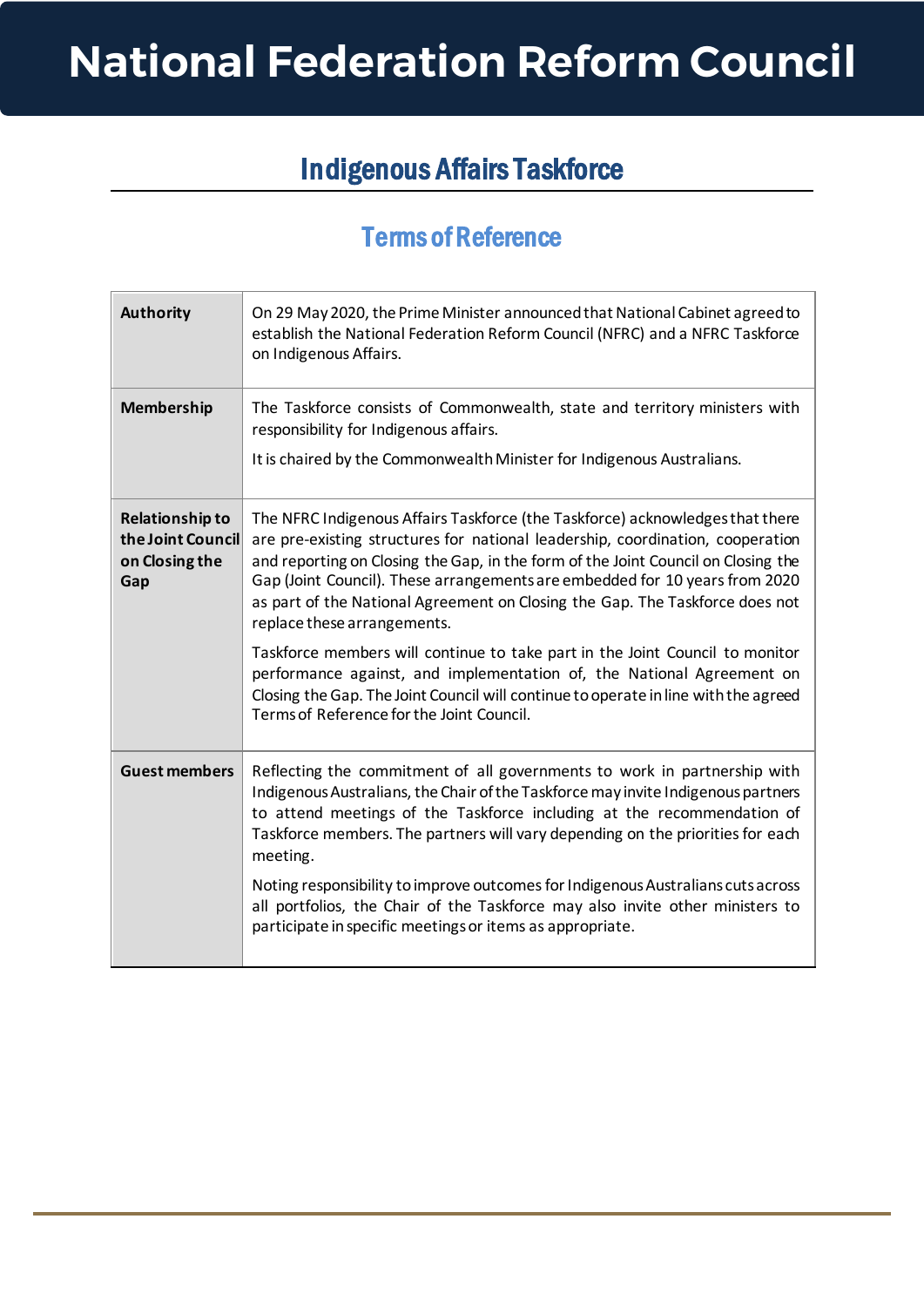## **National Federation Reform Council**

## Indigenous Affairs Taskforce

## Terms of Reference

| <b>Authority</b>                                                     | On 29 May 2020, the Prime Minister announced that National Cabinet agreed to<br>establish the National Federation Reform Council (NFRC) and a NFRC Taskforce<br>on Indigenous Affairs.                                                                                                                                                                                                                                                                                                                                                                                                                                                                                                                                                          |
|----------------------------------------------------------------------|-------------------------------------------------------------------------------------------------------------------------------------------------------------------------------------------------------------------------------------------------------------------------------------------------------------------------------------------------------------------------------------------------------------------------------------------------------------------------------------------------------------------------------------------------------------------------------------------------------------------------------------------------------------------------------------------------------------------------------------------------|
| <b>Membership</b>                                                    | The Taskforce consists of Commonwealth, state and territory ministers with<br>responsibility for Indigenous affairs.<br>It is chaired by the Commonwealth Minister for Indigenous Australians.                                                                                                                                                                                                                                                                                                                                                                                                                                                                                                                                                  |
| <b>Relationship to</b><br>the Joint Council<br>on Closing the<br>Gap | The NFRC Indigenous Affairs Taskforce (the Taskforce) acknowledges that there<br>are pre-existing structures for national leadership, coordination, cooperation<br>and reporting on Closing the Gap, in the form of the Joint Council on Closing the<br>Gap (Joint Council). These arrangements are embedded for 10 years from 2020<br>as part of the National Agreement on Closing the Gap. The Taskforce does not<br>replace these arrangements.<br>Taskforce members will continue to take part in the Joint Council to monitor<br>performance against, and implementation of, the National Agreement on<br>Closing the Gap. The Joint Council will continue to operate in line with the agreed<br>Terms of Reference for the Joint Council. |
| <b>Guest members</b>                                                 | Reflecting the commitment of all governments to work in partnership with<br>Indigenous Australians, the Chair of the Taskforce may invite Indigenous partners<br>to attend meetings of the Taskforce including at the recommendation of<br>Taskforce members. The partners will vary depending on the priorities for each<br>meeting.<br>Noting responsibility to improve outcomes for Indigenous Australians cuts across<br>all portfolios, the Chair of the Taskforce may also invite other ministers to<br>participate in specific meetings or items as appropriate.                                                                                                                                                                         |